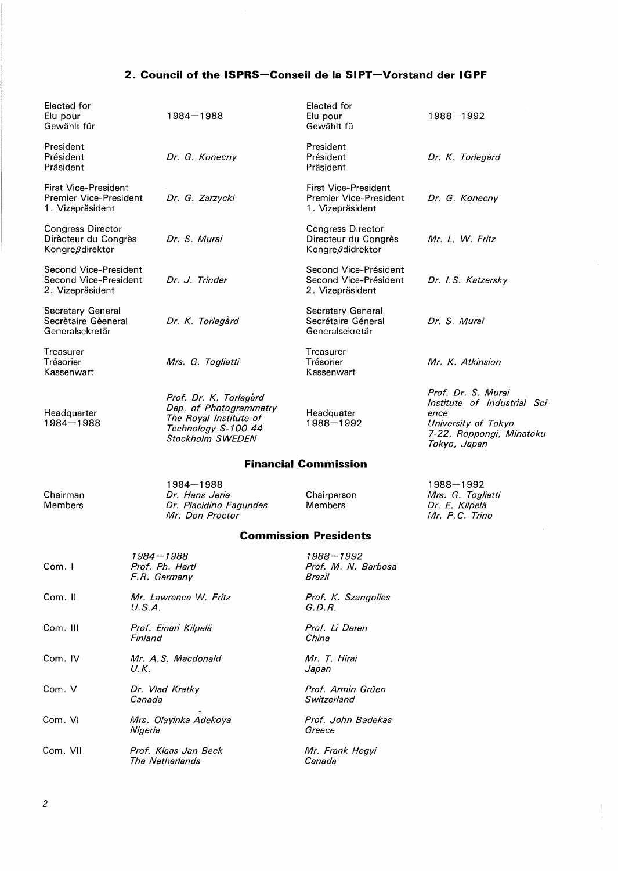# **2. Council of the ISPRS-Conseil de la SIPT-Vorstand der IGPF**

| Elected for<br>Elu pour<br>Gewählt für                                           | 1984-1988                                                                                                             | Elected for<br>Elu pour<br>Gewählt fü                                     | 1988-1992                                                                                                                     |  |
|----------------------------------------------------------------------------------|-----------------------------------------------------------------------------------------------------------------------|---------------------------------------------------------------------------|-------------------------------------------------------------------------------------------------------------------------------|--|
| President<br>Président<br>Präsident                                              | Dr. G. Konecny                                                                                                        | President<br>Président<br>Präsident                                       | Dr. K. Torlegård                                                                                                              |  |
| <b>First Vice-President</b><br><b>Premier Vice-President</b><br>1. Vizepräsident | Dr. G. Zarzycki                                                                                                       | <b>First Vice-President</b><br>Premier Vice-President<br>1. Vizepräsident | Dr. G. Konecny                                                                                                                |  |
| <b>Congress Director</b><br>Dirècteur du Congrès<br>Kongreßdirektor              | Dr. S. Murai                                                                                                          | <b>Congress Director</b><br>Directeur du Congrès<br>Kongreßdidrektor      | Mr. L. W. Fritz                                                                                                               |  |
| Second Vice-President<br>Second Vice-President<br>2. Vizepräsident               | Dr. J. Trinder                                                                                                        | Second Vice-Président<br>Second Vice-Président<br>2. Vizepräsident        | Dr. I.S. Katzersky                                                                                                            |  |
| <b>Secretary General</b><br>Secrètaire Gèeneral<br>Generalsekretär               | Dr. K. Torlegård                                                                                                      | Secretary General<br>Secrétaire Géneral<br>Generalsekretär                | Dr. S. Murai                                                                                                                  |  |
| Treasurer<br>Trésorier<br>Kassenwart                                             | Mrs. G. Togliatti                                                                                                     | Treasurer<br>Trésorier<br>Kassenwart                                      | Mr. K. Atkinsion                                                                                                              |  |
| Headquarter<br>1984-1988                                                         | Prof. Dr. K. Torlegård<br>Dep. of Photogrammetry<br>The Royal Institute of<br>Technology S-100 44<br>Stockholm SWEDEN | Headquater<br>1988-1992                                                   | Prof. Dr. S. Murai<br>Institute of Industrial Sci-<br>ence<br>University of Tokyo<br>7-22, Roppongi, Minatoku<br>Tokyo, Japan |  |
| <b>Financial Commission</b>                                                      |                                                                                                                       |                                                                           |                                                                                                                               |  |

Chairman Members

Chairperson Members

1988-1992 Mrs. G. Togliatti Dr. E. Kilpelä Mr. P. C. Trina

## **Commission Presidents**

| Com.1    | 1984—1988<br>Prof. Ph. Hartl<br>F.R. Germany | 1988-1992<br>Prof. M. N. Barbosa<br>Brazil |
|----------|----------------------------------------------|--------------------------------------------|
| Com. II  | Mr. Lawrence W. Fritz<br>U.S.A.              | Prof. K. Szangolies<br>G.D.R.              |
| Com. III | Prof. Einari Kilpelä<br>Finland              | Prof. Li Deren<br>China                    |
| Com. IV  | Mr. A.S. Macdonald<br>U.K.                   | Mr. T. Hirai<br>Japan                      |
| Com. V   | Dr. Vlad Kratky<br>Canada                    | Prof. Armin Grüen<br>Switzerland           |
| Com. VI  | Mrs. Olayinka Adekoya<br>Nigeria             | Prof. John Badekas<br>Greece               |
| Com. VII | Prof. Klaas Jan Beek<br>The Netherlands      | Mr. Frank Hegyi<br>Canada                  |

1984-1988 Dr. Hans Jerie

Dr. Placidino Fagundes Mr. Don Proctor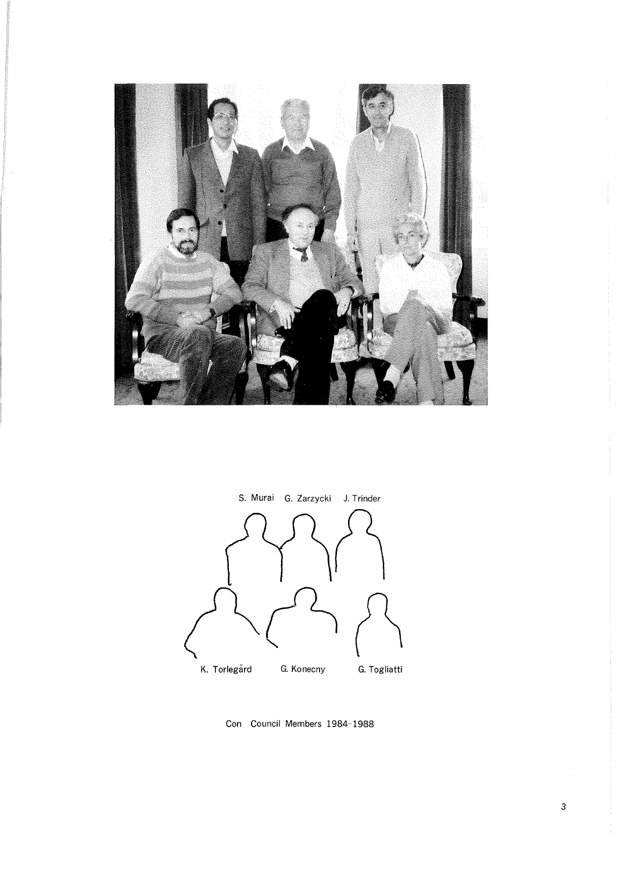



Con Council Members 1984-1988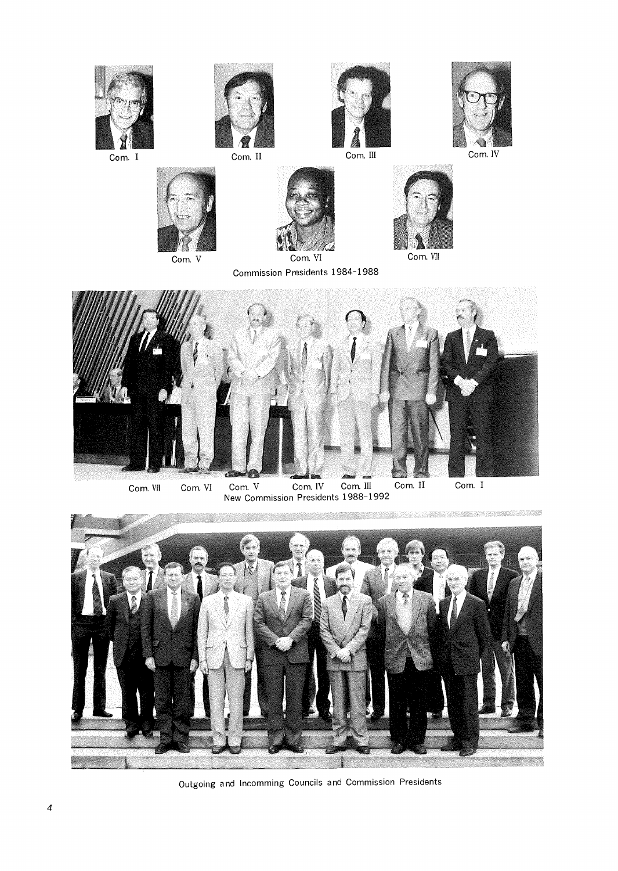

Outgoing and lncomming Councils and Commission Presidents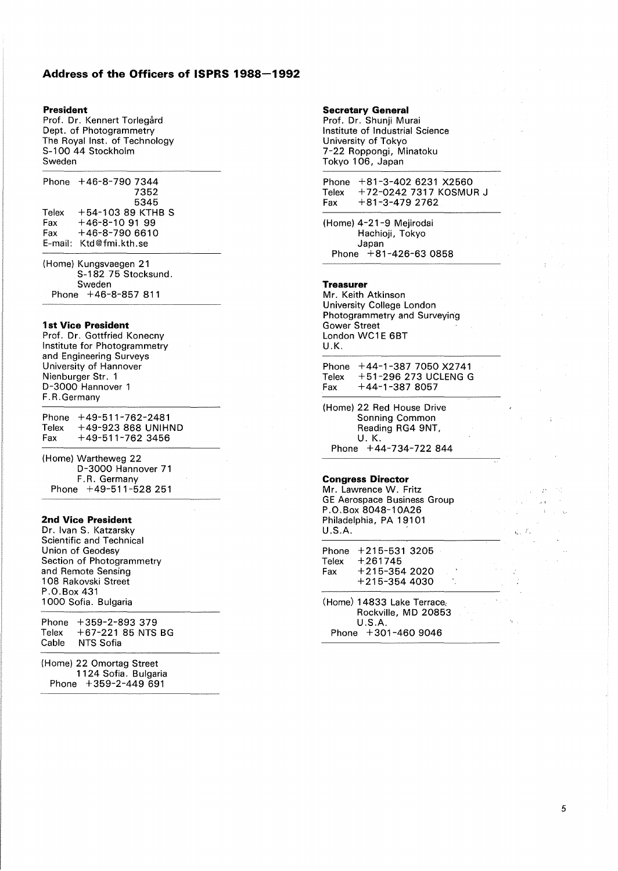# **Address of the Officers of ISPRS 1988-1992**

#### **President**

Prof. Dr. Kennert Torlegård Dept. of Photogrammetry The Royal Inst. of Technology S-100 44 Stockholm Sweden

|       | Phone +46-8-790 7344   |  |
|-------|------------------------|--|
|       | 7352                   |  |
|       | 5345                   |  |
| Telex | $+54 - 10389$ KTHB S   |  |
| Fax:  | $+46-8-10.91.99$       |  |
| Fax   | $+46-8-7906610$        |  |
|       | E-mail: Ktd@fmi.kth.se |  |
|       |                        |  |

(Home) Kungsvaegen 21  $S-182$  75 Stocksund. Sweden Phone +46-8-857 811

### **1st Vice President**

Prof. Dr. Gottfried Konecny Institute for Photogrammetry and Engineering Surveys University of Hannover Nienburger Str. 1 D-3000 Hannover 1 F. R. Germany

Phone +49-511-762-2481<br>Telex +49-923 868 UNIHI +49-923 868 UNIHND Fax  $+49-511-762$  3456

(Home) Wartheweg 22 D-3000 Hannover 71 F.R. Germany Phone +49-511-528 251

#### **2nd Vice President**

Dr. Ivan S. Katzarsky Scientific and Technical Union of Geodesy Section of Photogrammetry and Remote Sensing 1 08 Rakovski Street P .0. Box 431 1000 Sofia. Bulgaria

Phone +359-2-893 379 Telex +67-221 85 NTS BG<br>Cable NTS Sofia NTS Sofia

(Home) 22 Omortag Street 1124 Sofia. Bulgaria Phone +359-2-449 691

# **Secretary General**

Prof. Dr. Shunji Murai Institute of Industrial Science University of Tokyo 7-22 Roppongi, Minatoku Tokyo 106, Japan

Phone +81-3-402 6231 X2560<br>Telex +72-0242 7317 KOSMU Telex +72-0242 7317 KOSMUR J<br>Fax +81-3-479 2762  $+81 - 3 - 4792$ 

(Home) 4-21-9 Mejirodai Hachioji, Tokyo Japan Phone +81-426-63 0858

#### **Treasurer**

Mr. Keith Atkinson University College London Photogrammetry and Surveying Gower Street London WC1E 6BT U.K.

Phone +44-1-387 7050 X2741 Telex +51-296 273 UCLENG G Fax  $+44-1-3878057$ 

(Home) 22 Red House Drive Sonning Common Reading RG4 9NT, U. K. Phone +44-734-722 844

#### **Congress Director**

Mr. Lawrence W. Fritz GE Aerospace Business Group P. 0. Box 8048-1 OA26 Philadelphia, PA 19101 U.S.A.

Phone +215-531 3205 **Telex** Fax +261745 +215-354 2020 +215-354 4030

(Home) 14833 Lake Terrace, Rockville, MD 20853 U.S.A. Phone +301-460 9046